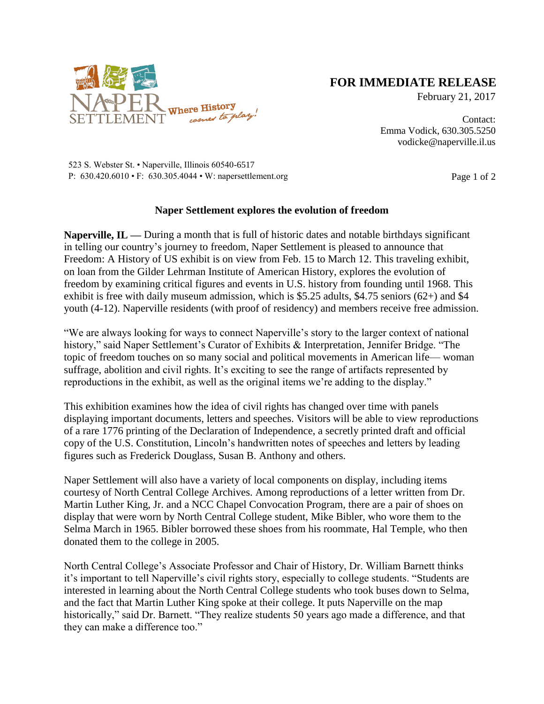

## **FOR IMMEDIATE RELEASE**

February 21, 2017

Contact: Emma Vodick, 630.305.5250 vodicke@naperville.il.us

523 S. Webster St. • Naperville, Illinois 60540-6517 P:  $630.420.6010 \cdot F$ :  $630.305.4044 \cdot W$ : napersettlement.org Page 1 of 2

## **Naper Settlement explores the evolution of freedom**

**Naperville, IL —** During a month that is full of historic dates and notable birthdays significant in telling our country's journey to freedom, Naper Settlement is pleased to announce that Freedom: A History of US exhibit is on view from Feb. 15 to March 12. This traveling exhibit, on loan from the Gilder Lehrman Institute of American History, explores the evolution of freedom by examining critical figures and events in U.S. history from founding until 1968. This exhibit is free with daily museum admission, which is \$5.25 adults, \$4.75 seniors (62+) and \$4 youth (4-12). Naperville residents (with proof of residency) and members receive free admission.

"We are always looking for ways to connect Naperville's story to the larger context of national history," said Naper Settlement's Curator of Exhibits & Interpretation, Jennifer Bridge. "The topic of freedom touches on so many social and political movements in American life— woman suffrage, abolition and civil rights. It's exciting to see the range of artifacts represented by reproductions in the exhibit, as well as the original items we're adding to the display."

This exhibition examines how the idea of civil rights has changed over time with panels displaying important documents, letters and speeches. Visitors will be able to view reproductions of a rare 1776 printing of the Declaration of Independence, a secretly printed draft and official copy of the U.S. Constitution, Lincoln's handwritten notes of speeches and letters by leading figures such as Frederick Douglass, Susan B. Anthony and others.

Naper Settlement will also have a variety of local components on display, including items courtesy of North Central College Archives. Among reproductions of a letter written from Dr. Martin Luther King, Jr. and a NCC Chapel Convocation Program, there are a pair of shoes on display that were worn by North Central College student, Mike Bibler, who wore them to the Selma March in 1965. Bibler borrowed these shoes from his roommate, Hal Temple, who then donated them to the college in 2005.

North Central College's Associate Professor and Chair of History, Dr. William Barnett thinks it's important to tell Naperville's civil rights story, especially to college students. "Students are interested in learning about the North Central College students who took buses down to Selma, and the fact that Martin Luther King spoke at their college. It puts Naperville on the map historically," said Dr. Barnett. "They realize students 50 years ago made a difference, and that they can make a difference too."